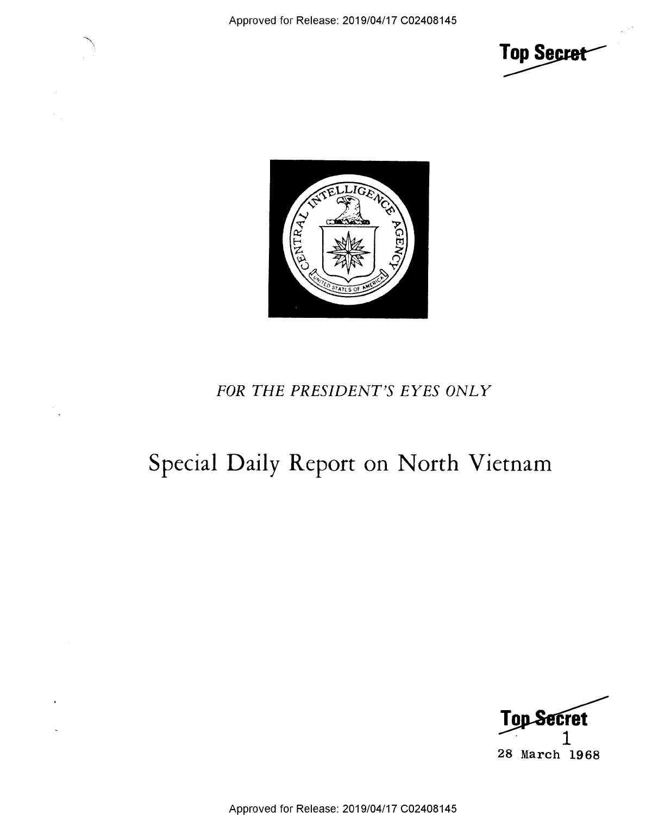



## FOR THE PRESIDENT'S EYES ONLY

## Special Daily Report on North Vietnam



Approved for Release: 2019/04/17 C02408145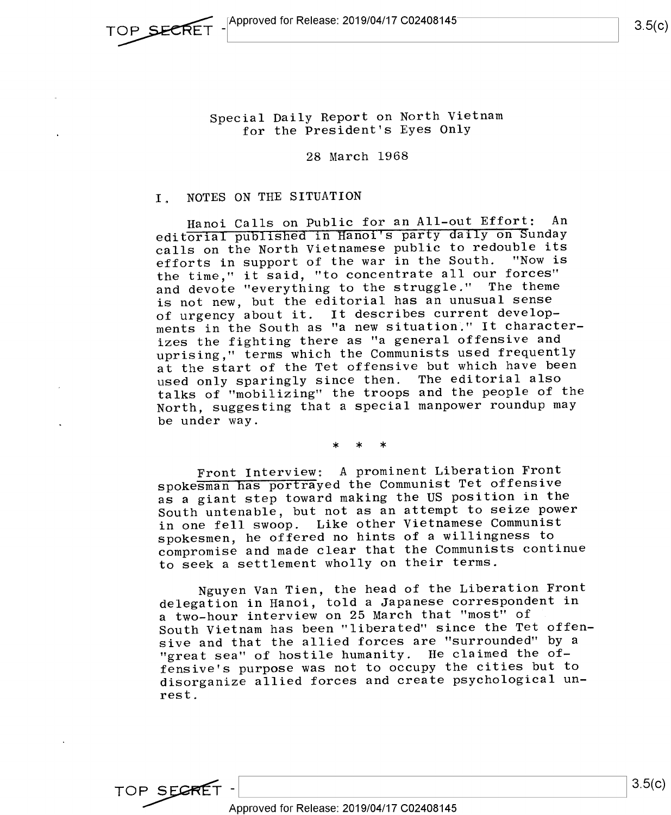Special Daily Report on North Vietnam for the President's Eyes Only

28 March 1968

## I. NOTES ON THE SITUATION

Hanoi Calls on Public for an All-out Effort: An editorial published in Hanoi's party daily on Sunday calls on the North Vietnamese public to redouble its efforts in support of the war in the South. "Now is the time," it said, "to concentrate all our forces" and devote "everything to the struggle." The theme is not new, but the editorial has an unusual sense of urgency about it. It describes current developments in the South as "a new situation." It characterizes the fighting there as "a general offensive and uprising," terms which the Communists used frequently at the start of the Tet offensive but which have been used only sparingly since then. The editorial also talks of "mobilizing" the troops and the people of the North, suggesting that a special manpower roundup may be under way.

\* \* \*

Front Interview; A prominent Liberation Front spokesman Has portrayed the Communist Tet offensive as a giant step toward making the US position in the South untenable, but not as an attempt to seize power in one fell swoop. Like other Vietnamese Communist spokesmen, he offered no hints of a willingness to compromise and made clear that the Communists continue to seek a settlement wholly on their terms.

Nguyen Van Tien, the head of the Liberation Front delegation in Hanoi, told a Japanese correspondent in <sup>a</sup>two-hour interview on 25 March that "most" of South Vietnam has been "liberated" since the Tet offen sive and that the allied forces are "surrounded" by <sup>a</sup> "great sea" of hostile humanity. He claimed the offensive's purpose was not to occupy the cities but to disorganize allied forces and create psychological unrest.

TOP SECRET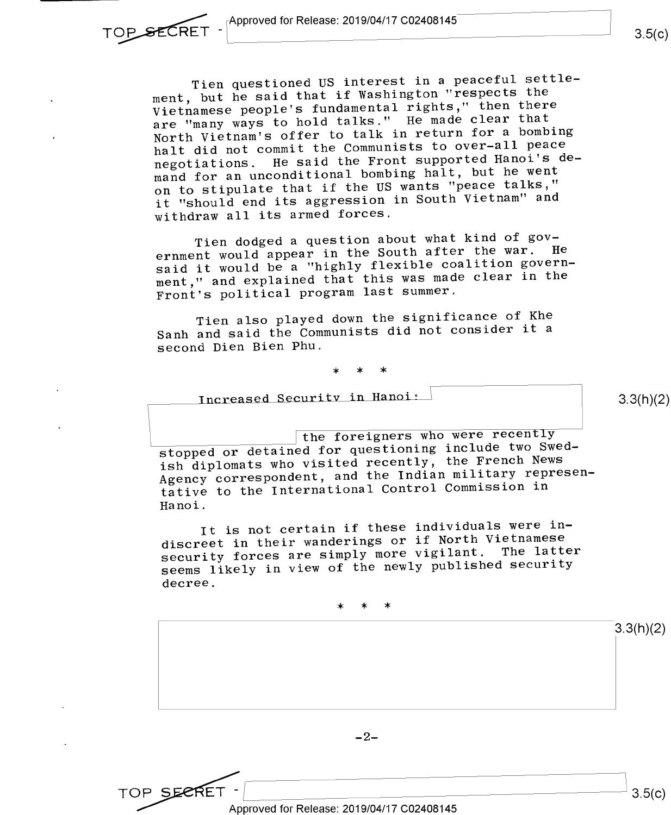Tien questioned US interest in a peaceful settlement, but he said that if Washington "respects the Vietnamese people's fundamental rights," then there are "many ways to hold talks." He made clear that North Vietnam's offer to talk in return for a bombing halt did not commit the Communists to over-all peace

negotiations. He said the Front supported Hanoi's demand for an unconditional bombing halt, but he went on to stipulate that if the US wants "peace talks," it "should end its aggression in South Vietnam" and withdraw all its armed forces.

Tien dodged a question about what kind of government would appear in the South after the war. He said it would be a "highly flexible coalition government," and explained that this was made clear in the Front's political program last summer,

Tien also played down the significance of Khe Sanh and said the Communists did not consider it <sup>a</sup> second Dien Bien Phu.

\* \* >l<

Increased Security in Hanoi:  $\frac{1}{2}$  (3.3(h)(2)

the foreigners who were recently stopped or detained for questioning include two Swedish diplomats who visited recently, the French News Agency correspondent, and the Indian military representative to the International Control Commission in Hanoi.

It is not certain if these individuals were indiscreet in their wanderings or if North Vietnamese security forces are simply more vigilant. The latter seems likely in view of the newly published security decree.

\* \* \*



Approved for Release: 2019/04/17 C02408145

 $3.5(c)$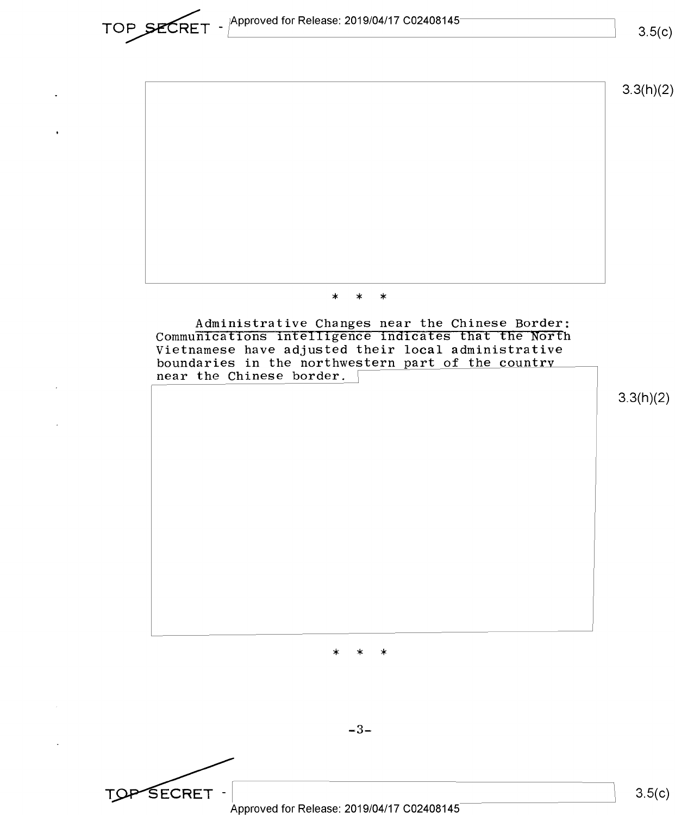Approved for Release: 2019/04/17 C02408145

TOP SECRET

 $3.5(c)$ 



Approved for Release: 2019/04/17 C02408145